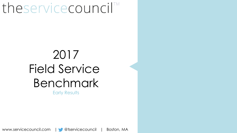# theservicecouncil™

## 2017 Field Service Benchmark Early Results

www.servicecouncil.com | @tservicecouncil | Boston, MA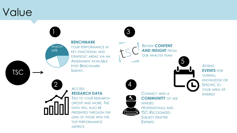### Value

**TSC** 



**BENCHMARK**

YOUR PERFORMANCE IN KEY FUNCTIONAL AND STRATEGIC AREAS VIA AN ASSESSMENT AVAILABLE POST-BENCHMARK SURVEY.





**REVIEW CONTENT AND INSIGHT** FROM OUR ANALYST TEAM



ATTEND **EVENTS** FOR **OVERALL** KNOWLEDGE OR SPECIFIC TO YOUR AREA OF INTEREST



#### **ACCESS RESEARCH DATA**

TIED TO YOUR RESEARCH GROUP AND MORE. THE DATA WILL ALSO BE PRESENTED THROUGH THE LENS OF THOSE WITH THE TOP PERFORMANCE **METRICS** 



4

CONNECT WITH A **COMMUNITY** OF LIKE MINDED PROFESSIONALS AND TSC-RECOGNIZED SUBJECT MATTER **EXPERTS**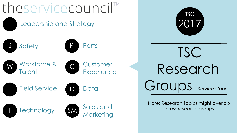



TSC Research Groups (Service Councils)

Note: Research Topics might overlap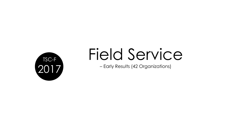

# Field Service

– Early Results (42 Organizations)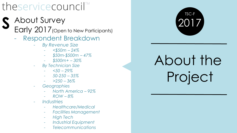## theservicecouncil

- About Survey **S**
	- Early 2017 (Open to New Participants)
		- Respondent Breakdown
			- *By Revenue Size*
				- *<\$50m – 24%*
				- *\$50m-\$500m – 47%*
				- *\$500m+ – 30%*
			- *By Technician Size*
				- *<50 – 29%*
				- *50-250 – 35%*
				- *>250 – 36%*
			- *Geographies*
				- *North America – 92%*
				- *ROW – 8%*
			- *Industries*
				- *Healthcare/Medical*
				- *Facilities Management*
				- *High Tech*
				- *Industrial Equipment*
				- *Telecommunications*



# About the Project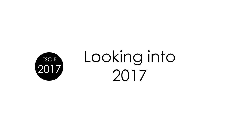

# Looking into 2017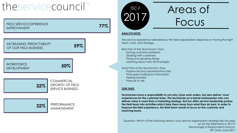## theservicecouncil<sup>TM</sup>

FIELD SERVICE EXPERIENCE IMPROVEMENT

**77%**





## POIT Areas of Focus

#### **ANALYST NOTE:**

The service experience delivered by the field organization depends on having the right team, tools, and strategy.

Best Part of the Technician's Day:

- Solving customer problems
- Dealing with customers
- Fixing and repairing things
- Learning about new technologies

Worst Part of the Technician's Day:

- Paperwork and administrative tasks
- Time spent looking for information
- Feeling isolated
- Pressure to sell

#### **OUR TAKE:**

**Technicians have a responsibility to not only close work orders, but also deliver 'wow' experiences for the customer base. The technician as a brand ambassador who can deliver value is more than a marketing strategy. But too often service leadership pushes the field team into activities which take them away from what they do best. In order to improve the field experience, the field team needs to focus on the customer and resolving issues.** 

Question: Which of the following areas is your service organization strategically focused on for the field team in 2017? Percentage of Respondents Source: TSC Data June 2017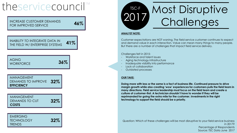### theservicecouncil<sup>™</sup>

INCREASE CUSTOMER DEMANDS FOR IMPROVED SERVICE

**46%**

**41%** INABILITY TO INTEGRATE DATA IN THE FIELD W/ ENTERPRISE SYSTEMS

**36%** AGING **WORKFORCE** 

**32%** MANAGEMENT DEMANDS TO IMPROVE **EFFICIENCY**

| MANAGEMENT<br>DEMANDS TO CUT | 32% |
|------------------------------|-----|
| COSTS                        |     |

| EMERGING<br>TECHNOLOGY<br>TRENDS | 32% |
|----------------------------------|-----|
|----------------------------------|-----|



#### **ANALYST NOTE:**

Customer expectations are NOT waning. The field service customer continues to expect and demand value in each interaction. Value can mean many things to many people. But there are a number of challenges that impact field service delivery.

Challenges felt in 2015:

- Workforce and talent issues
- Aging technology infrastructure
- Inadequate visibility into performance
- Lack of collaboration
- Outdated processes

#### **OUR TAKE:**

**Doing more with less or the same is a fact of business life. Continued pressure to drive margin growth while also creating 'wow' experiences for customers pulls the field team in many directions. Field service leadership must focus on the field team and create a culture of customer-first. A technician shouldn't have to wonder if they will be reprimanded for going the extra mile for the customer. Investments in the right technology to support the field should be a priority.** 

Question: Which of these challenges will be most disruptive to your field service business in 2017? Percentage of Respondents Source: TSC Data June 2017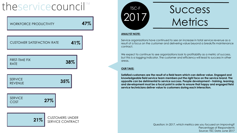## theservicecouncil

**27% 35% 38% 41% 47% SERVICE** CUSTOMER SATISFACTION RATE WORKFORCE PRODUCTIVITY SERVICE REVENUE FIRST-TIME FIX RATE

> **21%** CUSTOMERS UNDER SERVICE CONTRACT

COST

TSC-F

## SUCCESS **Metrics**

#### **ANALYST NOTE:**

Service organizations have continued to see an increase in total service revenue as a result of a focus on the customer and delivering value beyond a break/fix maintenance contract.

We expect to continue to see organizations look to profitability as a metric of success, but this is a lagging indicator. The customer and efficiency will lead to success in other areas.

#### **OUR TAKE:**

**Satisfied customers are the result of a field team which can deliver value. Engaged and knowledgeable field service team members put the right face on the service brand. The opposite can be detrimental to service success. People development – training, learning, and development must be a focal point in order to ensure that happy and engaged field service technicians deliver value to customers during each interaction.** 

> Question: In 2017, which metrics are you focused on improving? Percentage of Respondents Source: TSC Data June 2017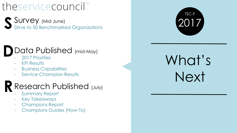## theservicecouncil

Survey (Mid June)<br>Drive to 50 Benchmarked Organizations

### Data Published (mid-May) **D**

- 2017 Priorities
- KPI Results
- Business Capabilities
- Service Champion Results

### Research Published (July) **R**

- Summary Report
- Key Takeaways
- Champions Report
- Champions Guides (How-To)



# What's Next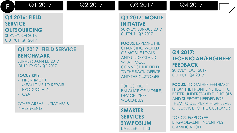

### **Q4 2016: FIELD SERVICE OUTSOURCING** SURVEY: Q4 2016 OUTPUT: Q1 2017

### **Q1 2017: FIELD SERVICE BENCHMARK**

SURVEY: JAN-FEB 2017 OUTPUT: Q1/Q2 2017

#### **FOCUS KPIS:**

- FIRST-TIME FIX
- MEAN-TIME-TO-REPAIR
- PRODUCTIVITY
- CSAT

OTHER AREAS: INITIATIVES & INVESTMENTS

### **Q3 2017: MOBILE INITIATIVE**

SURVEY: JUN-JUL 2017 OUTPUT: Q3 2017

**FOCUS: EXPLORE THE** CHANGING WORLD OF MOBILE TOOLS AND UNDERSTAND WHAT TOOLS CONNECT THE FIELD TO THE BACK OFFICE AND THE CUSTOMER

TOPICS: RIGHT BALANCE OF MOBILE, DEVICE TYPES, WFARABLES

**SMARTER SERVICES SYMPOSIUM** LIVE: SEPT 11-13

**Q4 2017: TECHNICIAN/ENGINEER FEEDBACK** SURVEY: OCT 2017 OUTPUT: Q4 2017

**FOCUS:** TO GATHER FEEDBACK FROM THE FRONT LINE TECH TO BETTER UNDERSTAND THE TOOLS AND SUPPORT NEEDED FOR THEM TO DELIVER A HIGH LEVEL OF SERVICE TO THE CUSTOMER

TOPICS: EMPLOYEE ENGAGEMENT, INCENTIVES, GAMIFICATION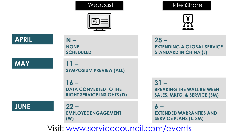### Webcast



### **APRIL**

**N – NONE SCHEDULED**

**MAY**

**JUNE**

**11 – SYMPOSIUM PREVIEW (ALL)**

**16 – DATA CONVERTED TO THE RIGHT SERVICE INSIGHTS (D)**

**22 – EMPLOYEE ENGAGEMENT (W)** 

### IdeaShare



 $25 -$ **EXTENDING A GLOBAL SERVICE STANDARD IN CHINA (L)**

**31 – BREAKING THE WALL BETWEEN SALES, MKTG, & SERVICE (SM)**

**6 – EXTENDED WARRANTIES AND SERVICE PLANS (L, SM)**

Visit: [www.servicecouncil.com/events](http://www.servicecouncil.com/events)